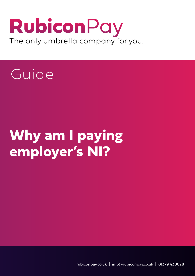## RubiconPay The only umbrella company for you.

# Guide

# **Why am I paying employer's NI?**

rubiconpay.co.uk | info@rubiconpay.co.uk | 01379 438028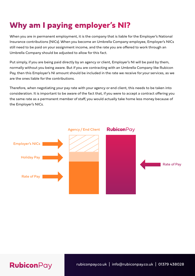### **Why am I paying employer's NI?**

When you are in permanent employment, it is the company that is liable for the Employer's National Insurance contributions (NICs). When you become an Umbrella Company employee, Employer's NICs still need to be paid on your assignment income, and the rate you are offered to work through an Umbrella Company should be adjusted to allow for this fact.

Put simply, if you are being paid directly by an agency or client, Employer's NI will be paid by them, normally without you being aware. But if you are contracting with an Umbrella Company like Rubicon Pay, then this Employer's NI amount should be included in the rate we receive for your services, as we are the ones liable for the contributions.

Therefore, when negotiating your pay rate with your agency or end client, this needs to be taken into consideration. It is important to be aware of the fact that, if you were to accept a contract offering you the same rate as a permanent member of staff, you would actually take home less money because of the Employer's NICs.